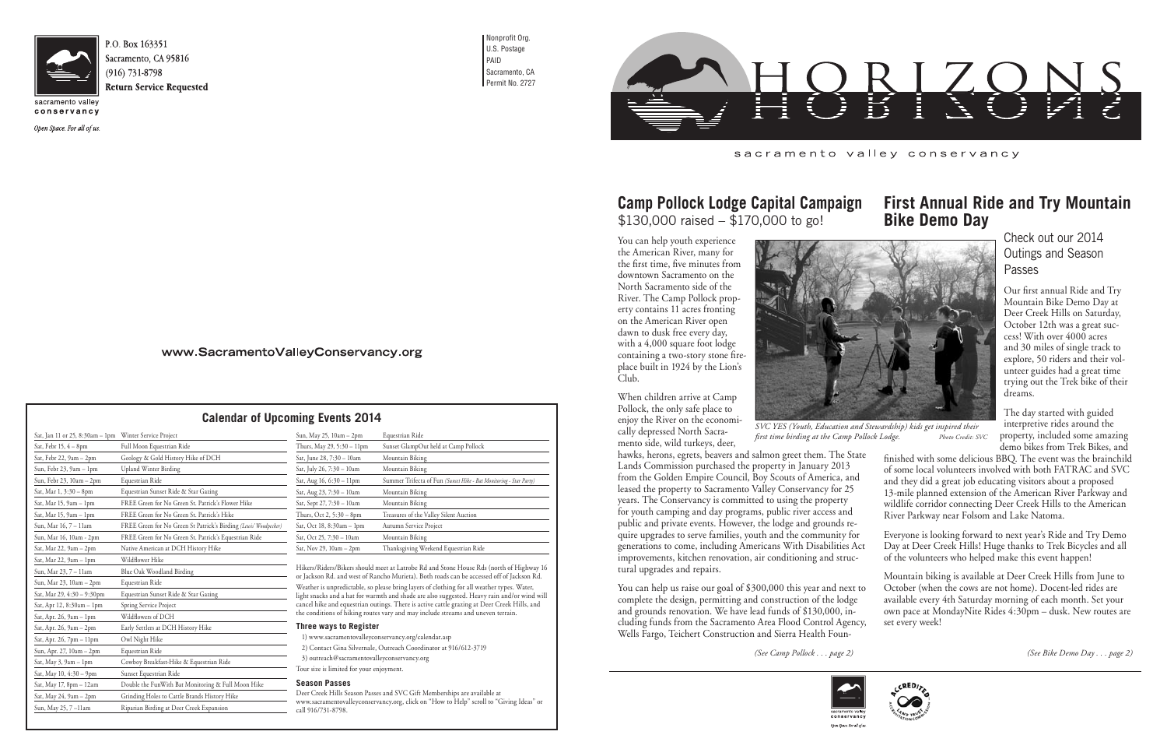

Sacramento, CA 95816 **Return Service Requested** 

conservancy

Open Space. For all of us.

Nonprofit Org. U.S. Postage PAID Sacramento, CA Permit No. 2727



You can help youth experience the American River, many for the first time, five minutes from downtown Sacramento on the North Sacramento side of the River. The Camp Pollock property contains 11 acres fronting on the American River open dawn to dusk free every day, with a 4,000 square foot lodge containing a two-story stone fireplace built in 1924 by the Lion's Club.

When children arrive at Camp Pollock, the only safe place to enjoy the River on the economically depressed North Sacramento side, wild turkeys, deer,



Deer Creek Hills Season Passes and SVC Gift Memberships are available at www.sacramentovalleyconservancy.org, click on "How to Help" scroll to "Giving Ideas" or  $=$  call  $916/731-8798$ .

### sacramento valley conservancy

### **Camp Pollock Lodge Capital Campaign** \$130,000 raised – \$170,000 to go! **First Annual Ride and Try Mountain Bike Demo Day**

Hikers/Riders/Bikers should meet at Latrobe Rd and Stone House Rds (north of Highway 16 or Jackson Rd. and west of Rancho Murieta). Both roads can be accessed off of Jackson Rd. Weather is unpredictable, so please bring layers of clothing for all weather types. Water, light snacks and a hat for warmth and shade are also suggested. Heavy rain and/or wind will hawks, herons, egrets, beavers and salmon greet them. The Sta Lands Commission purchased the property in January 2013 from the Golden Empire Council, Boy Scouts of America, and leased the property to Sacramento Valley Conservancy for 25 years. The Conservancy is committed to using the property for youth camping and day programs, public river access and public and private events. However, the lodge and grounds require upgrades to serve families, youth and the community for generations to come, including Americans With Disabilities Act improvements, kitchen renovation, air conditioning and structural upgrades and repairs. and they did a great job educating visitors about a proposed River Parkway near Folsom and Lake Natoma. Everyone is looking forward to next year's Ride and Try Demo Day at Deer Creek Hills! Huge thanks to Trek Bicycles and all of the volunteers who helped make this event happen!

You can help us raise our goal of \$300,000 this year and next to complete the design, permitting and construction of the lodge and grounds renovation. We have lead funds of \$130,000, including funds from the Sacramento Area Flood Control Agency, Wells Fargo, Teichert Construction and Sierra Health Foun-Mountain biking is available at Deer Creek Hills from June to October (when the cows are not home). Docent-led rides are available every 4th Saturday morning of each month. Set your own pace at MondayNite Rides 4:30pm – dusk. New routes are set every week!

*SVC YES (Youth, Education and Stewardship) kids get inspired their*  first time birding at the Camp Pollock Lodge. Photo Credit: SVC

cancel hike and equestrian outings. There is active cattle grazing at Deer Creek Hills, and the conditions of hiking routes vary and may include streams and uneven terrain.

### **Three ways to Register**

1) www.sacramentovalleyconservancy.org/calendar.asp 2) Contact Gina Silvernale, Outreach Coordinator at 916/612-3719 3) outreach@sacramentovalleyconservancy.org

Tour size is limited for your enjoyment.

### **Season Passes**

# **Calendar of Upcoming Events 2014**

# Check out our 2014 Outings and Season Passes

Our first annual Ride and Try Mountain Bike Demo Day at Deer Creek Hills on Saturday, October 12th was a great success! With over 4000 acres and 30 miles of single track to explore, 50 riders and their volunteer guides had a great time trying out the Trek bike of their dreams.

The day started with guided interpretive rides around the property, included some amazing demo bikes from Trek Bikes, and

| ıte | finished with some delicious BBQ. The event was the brainchild |
|-----|----------------------------------------------------------------|
|     | of some local volunteers involved with both FATRAC and SVC     |
|     | and they did a great job educating visitors about a proposed   |
|     | 13-mile planned extension of the American River Parkway and    |
|     | wildlife corridor connecting Deer Creek Hills to the American  |
|     | River Parkway near Folsom and Lake Natoma.                     |
|     |                                                                |



*(See Camp Pollock . . . page 2) (See Bike Demo Day . . . page 2)*



Open Space. For all of u

## www.SacramentoValleyConservancy.org

| Sat, Jan 11 or 25, 8:30am – 1pm | Winter Service Project                                           |
|---------------------------------|------------------------------------------------------------------|
| Sat, Febr 15, 4 – 8pm           | Full Moon Equestrian Ride                                        |
| Sat, Febr 22, 9am – 2pm         | Geology & Gold History Hike of DCH                               |
| Sun, Febr 23, 9am - 1pm         | <b>Upland Winter Birding</b>                                     |
| Sun, Febr 23, 10am – 2pm        | Equestrian Ride                                                  |
| Sat, Mar 1, 3:30 – 8pm          | Equestrian Sunset Ride & Star Gazing                             |
| Sat, Mar 15, 9am – 1pm          | FREE Green for No Green St. Patrick's Flower Hike                |
| Sat, Mar 15, 9am – 1pm          | FREE Green for No Green St. Patrick's Hike                       |
| Sun, Mar 16, 7 – 11am           | FREE Green for No Green St Patrick's Birding (Lewis' Woodpecker) |
| Sun, Mar 16, 10am - 2pm         | FREE Green for No Green St. Patrick's Equestrian Ride            |
| Sat, Mar 22, 9am – 2pm          | Native American at DCH History Hike                              |
| Sat, Mar 22, 9am - 1pm          | Wildflower Hike                                                  |
| Sun, Mar 23, 7 – 11am           | Blue Oak Woodland Birding                                        |
| Sun, Mar 23, 10am – 2pm         | Equestrian Ride                                                  |
| Sat, Mar 29, 4:30 - 9:30pm      | Equestrian Sunset Ride & Star Gazing                             |
| Sat, Apr 12, 8:30am – 1pm       | Spring Service Project                                           |
| Sat, Apr. 26, 9am – 1pm         | Wildflowers of DCH                                               |
| Sat, Apr. 26, 9am - 2pm         | Early Settlers at DCH History Hike                               |
| Sat, Apr. 26, 7pm - 11pm        | Owl Night Hike                                                   |
| Sun, Apr. 27, 10am - 2pm        | Equestrian Ride                                                  |
| Sat, May 3, 9am – 1pm           | Cowboy Breakfast-Hike & Equestrian Ride                          |
| Sat, May 10, 4:30 – 9pm         | Sunset Equestrian Ride                                           |
| Sat, May 17, 8pm – 12am         | Double the FunWith Bat Monitoring & Full Moon Hike               |
| Sat, May 24, 9am - 2pm          | Grinding Holes to Cattle Brands History Hike                     |
| Sun, May 25, 7 –11am            | Riparian Birding at Deer Creek Expansion                         |
|                                 |                                                                  |

| Sun, May 25, 10am – 2pm    | Equestrian Ride                                                    |
|----------------------------|--------------------------------------------------------------------|
| Thurs, May 29, 5:30 – 11pm | Sunset GlampOut held at Camp Pollock                               |
| Sat, June 28, 7:30 – 10am  | Mountain Biking                                                    |
| Sat, July 26, 7:30 - 10am  | Mountain Biking                                                    |
| Sat, Aug 16, 6:30 – 11pm   | Summer Trifecta of Fun (Sunset Hike - Bat Monitoring - Star Party) |
| Sat, Aug 23, 7:30 – 10am   | Mountain Biking                                                    |
| Sat, Sept 27, 7:30 – 10am  | Mountain Biking                                                    |
| Thurs, Oct 2, 5:30 – 8pm   | Treasures of the Valley Silent Auction                             |
| Sat, Oct 18, 8:30am – 1pm  | Autumn Service Project                                             |
| Sat, Oct 25, 7:30 – 10am   | Mountain Biking                                                    |
| Sat, Nov 29, 10am – 2pm    | Thanksgiving Weekend Equestrian Ride                               |